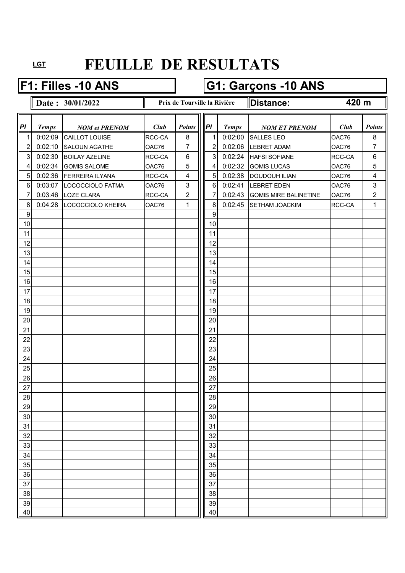### **F1: Filles -10 ANS G1: Garçons -10 ANS**

### **Date : 30/01/2022 Prix de Tourville la Rivière Distance: Prix de Tourville la Rivière**

**420 m**

| PI             | <b>Temps</b> | <b>NOM et PRENOM</b>  | Club   | <b>Points</b>  | P              | <b>Temps</b> | <b>NOM ET PRENOM</b>         | Club   | <b>Points</b>           |
|----------------|--------------|-----------------------|--------|----------------|----------------|--------------|------------------------------|--------|-------------------------|
| $\mathbf{1}$   | 0:02:09      | <b>CAILLOT LOUISE</b> | RCC-CA | 8              | 1              | 0:02:00      | <b>SALLES LEO</b>            | OAC76  | 8                       |
| $\overline{c}$ | 0:02:10      | <b>SALOUN AGATHE</b>  | OAC76  | 7              | $\overline{2}$ | 0:02:06      | <b>LEBRET ADAM</b>           | OAC76  | 7                       |
| $\mathbf{3}$   | 0:02:30      | <b>BOILAY AZELINE</b> | RCC-CA | 6              | $\mathbf{3}$   | 0:02:24      | <b>HAFSI SOFIANE</b>         | RCC-CA | $\,6\,$                 |
| $\overline{4}$ | 0:02:34      | <b>GOMIS SALOME</b>   | OAC76  | 5              | 4              | 0:02:32      | <b>GOMIS LUCAS</b>           | OAC76  | $\overline{5}$          |
| 5              | 0:02:36      | FERREIRA ILYANA       | RCC-CA | 4              | 5              | 0:02:38      | <b>DOUDOUH ILIAN</b>         | OAC76  | $\overline{\mathbf{4}}$ |
| 6              | 0:03:07      | LOCOCCIOLO FATMA      | OAC76  | 3              | $\,6\,$        | 0:02:41      | LEBRET EDEN                  | OAC76  | $\mathbf{3}$            |
| $\overline{7}$ | 0:03:46      | <b>LOZE CLARA</b>     | RCC-CA | $\overline{c}$ | 7              | 0:02:43      | <b>GOMIS MIRE BALINETINE</b> | OAC76  | $\overline{2}$          |
| 8              | 0:04:28      | LOCOCCIOLO KHEIRA     | OAC76  | 1              | 8              | 0:02:45      | <b>SETHAM JOACKIM</b>        | RCC-CA | $\mathbf{1}$            |
| 9              |              |                       |        |                | 9              |              |                              |        |                         |
| 10             |              |                       |        |                | 10             |              |                              |        |                         |
| 11             |              |                       |        |                | 11             |              |                              |        |                         |
| 12             |              |                       |        |                | 12             |              |                              |        |                         |
| 13             |              |                       |        |                | 13             |              |                              |        |                         |
| 14             |              |                       |        |                | 14             |              |                              |        |                         |
| 15             |              |                       |        |                | 15             |              |                              |        |                         |
| 16             |              |                       |        |                | 16             |              |                              |        |                         |
| 17             |              |                       |        |                | 17             |              |                              |        |                         |
| 18             |              |                       |        |                | 18             |              |                              |        |                         |
| 19             |              |                       |        |                | 19             |              |                              |        |                         |
| 20             |              |                       |        |                | 20             |              |                              |        |                         |
| 21             |              |                       |        |                | 21             |              |                              |        |                         |
| 22             |              |                       |        |                | 22             |              |                              |        |                         |
| 23             |              |                       |        |                | 23             |              |                              |        |                         |
| 24             |              |                       |        |                | 24             |              |                              |        |                         |
| 25             |              |                       |        |                | 25             |              |                              |        |                         |
| 26             |              |                       |        |                | 26             |              |                              |        |                         |
| 27             |              |                       |        |                | 27             |              |                              |        |                         |
| 28             |              |                       |        |                | 28             |              |                              |        |                         |
| 29             |              |                       |        |                | 29             |              |                              |        |                         |
| 30             |              |                       |        |                | 30             |              |                              |        |                         |
| 31             |              |                       |        |                | 31             |              |                              |        |                         |
| 32             |              |                       |        |                | 32             |              |                              |        |                         |
| 33             |              |                       |        |                | 33             |              |                              |        |                         |
| 34             |              |                       |        |                | 34             |              |                              |        |                         |
| 35             |              |                       |        |                | 35             |              |                              |        |                         |
| 36             |              |                       |        |                | 36             |              |                              |        |                         |
| 37             |              |                       |        |                | 37             |              |                              |        |                         |
|                |              |                       |        |                |                |              |                              |        |                         |
| 38             |              |                       |        |                | 38             |              |                              |        |                         |
| 39             |              |                       |        |                | 39             |              |                              |        |                         |
| 40             |              |                       |        |                | 40             |              |                              |        |                         |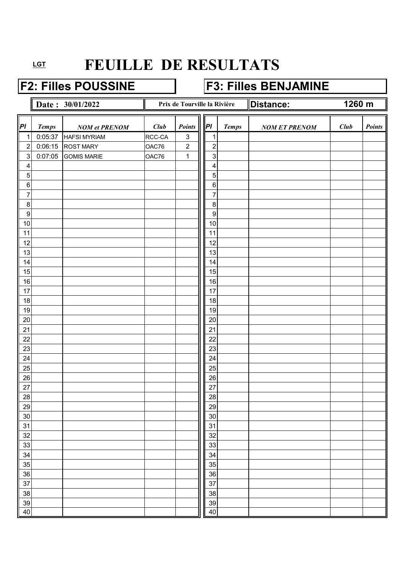### **F2: Filles POUSSINE F3: Filles BENJAMINE**

|                           |              | Date: 30/01/2022     |        | Prix de Tourville la Rivière |                         |              | Distance:            | 1260 m |        |
|---------------------------|--------------|----------------------|--------|------------------------------|-------------------------|--------------|----------------------|--------|--------|
| PI                        | <b>Temps</b> | <b>NOM</b> et PRENOM | Club   | Points                       | PI                      | <b>Temps</b> | <b>NOM ET PRENOM</b> | Club   | Points |
| 1                         | 0:05:37      | <b>HAFSI MYRIAM</b>  | RCC-CA | $\ensuremath{\mathsf{3}}$    | $\mathbf 1$             |              |                      |        |        |
| $\overline{\mathbf{c}}$   | 0:06:15      | <b>ROST MARY</b>     | OAC76  | $\boldsymbol{2}$             | $\overline{2}$          |              |                      |        |        |
| $\ensuremath{\mathsf{3}}$ | 0:07:05      | <b>GOMIS MARIE</b>   | OAC76  | $\mathbf 1$                  | $\sqrt{3}$              |              |                      |        |        |
| 4                         |              |                      |        |                              | $\overline{\mathbf{4}}$ |              |                      |        |        |
| 5                         |              |                      |        |                              | 5                       |              |                      |        |        |
| $\,6\,$                   |              |                      |        |                              | $\,6\,$                 |              |                      |        |        |
| $\overline{7}$            |              |                      |        |                              | $\overline{7}$          |              |                      |        |        |
| $\,8\,$                   |              |                      |        |                              | $\,8\,$                 |              |                      |        |        |
| $\overline{9}$            |              |                      |        |                              | $\boldsymbol{9}$        |              |                      |        |        |
| 10                        |              |                      |        |                              | 10                      |              |                      |        |        |
| 11                        |              |                      |        |                              | 11                      |              |                      |        |        |
| 12                        |              |                      |        |                              | 12<br>13                |              |                      |        |        |
| 13<br>14                  |              |                      |        |                              | 14                      |              |                      |        |        |
| 15                        |              |                      |        |                              | 15                      |              |                      |        |        |
| 16                        |              |                      |        |                              | 16                      |              |                      |        |        |
| 17                        |              |                      |        |                              | 17                      |              |                      |        |        |
| 18                        |              |                      |        |                              | 18                      |              |                      |        |        |
| 19                        |              |                      |        |                              | 19                      |              |                      |        |        |
| 20                        |              |                      |        |                              | 20                      |              |                      |        |        |
| 21                        |              |                      |        |                              | 21                      |              |                      |        |        |
| 22                        |              |                      |        |                              | 22                      |              |                      |        |        |
| 23                        |              |                      |        |                              | 23                      |              |                      |        |        |
| 24                        |              |                      |        |                              | 24                      |              |                      |        |        |
| 25                        |              |                      |        |                              | 25                      |              |                      |        |        |
| 26                        |              |                      |        |                              | 26                      |              |                      |        |        |
| 27                        |              |                      |        |                              | $\overline{27}$         |              |                      |        |        |
| 28                        |              |                      |        |                              | $28\,$                  |              |                      |        |        |
| 29                        |              |                      |        |                              | $\frac{29}{2}$          |              |                      |        |        |
| 30                        |              |                      |        |                              | 30                      |              |                      |        |        |
| 31                        |              |                      |        |                              | 31                      |              |                      |        |        |
| 32                        |              |                      |        |                              | 32                      |              |                      |        |        |
| 33                        |              |                      |        |                              | 33                      |              |                      |        |        |
| 34                        |              |                      |        |                              | 34                      |              |                      |        |        |
| 35<br>36                  |              |                      |        |                              | 35<br>36                |              |                      |        |        |
| 37                        |              |                      |        |                              | 37                      |              |                      |        |        |
| 38                        |              |                      |        |                              | 38                      |              |                      |        |        |
| 39                        |              |                      |        |                              | $39\,$                  |              |                      |        |        |
| 40                        |              |                      |        |                              | 40                      |              |                      |        |        |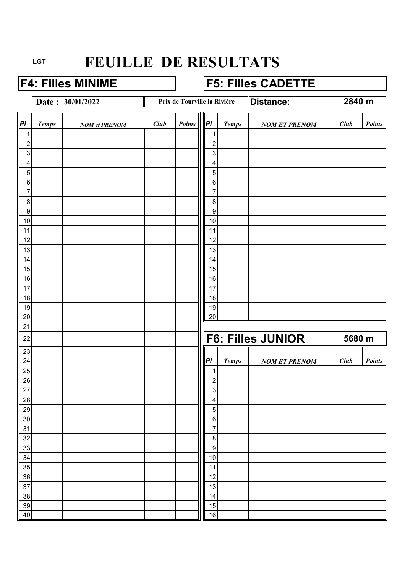### F4: Filles MINIME **F5: Filles CADETTE**

**Date : 30/01/2022 Distance: Prix de Tourville la Rivière Distance:** 

**2840 m**

| $\vert_{Pl}$   | <b>Temps</b> | <b>NOM</b> et PRENOM | Club | Points | P                | <b>Temps</b> | <b>NOM ET PRENOM</b>     | Club   | <b>Points</b> |
|----------------|--------------|----------------------|------|--------|------------------|--------------|--------------------------|--------|---------------|
| 1              |              |                      |      |        | 1                |              |                          |        |               |
| $\overline{c}$ |              |                      |      |        | $\overline{c}$   |              |                          |        |               |
| $\mathbf{3}$   |              |                      |      |        | 3                |              |                          |        |               |
| 4              |              |                      |      |        | 4                |              |                          |        |               |
| 5              |              |                      |      |        | 5                |              |                          |        |               |
| 6              |              |                      |      |        | $\,6\,$          |              |                          |        |               |
| $\overline{7}$ |              |                      |      |        | 7                |              |                          |        |               |
| $\bf 8$        |              |                      |      |        | $\bf 8$          |              |                          |        |               |
| $\overline{9}$ |              |                      |      |        | $\boldsymbol{9}$ |              |                          |        |               |
| 10             |              |                      |      |        | 10               |              |                          |        |               |
| 11             |              |                      |      |        | 11               |              |                          |        |               |
| 12             |              |                      |      |        | 12               |              |                          |        |               |
| 13             |              |                      |      |        | 13               |              |                          |        |               |
| 14<br>15       |              |                      |      |        | 14<br>15         |              |                          |        |               |
| 16             |              |                      |      |        | 16               |              |                          |        |               |
| 17             |              |                      |      |        | 17               |              |                          |        |               |
| 18             |              |                      |      |        | $18$             |              |                          |        |               |
| 19             |              |                      |      |        | 19               |              |                          |        |               |
| 20             |              |                      |      |        | 20               |              |                          |        |               |
| 21             |              |                      |      |        |                  |              |                          |        |               |
| 22             |              |                      |      |        |                  |              | <b>F6: Filles JUNIOR</b> | 5680 m |               |
| 23             |              |                      |      |        |                  |              |                          |        |               |
| 24             |              |                      |      |        | P                | <b>Temps</b> | <b>NOM ET PRENOM</b>     | Club   | Points        |
| 25             |              |                      |      |        | 1                |              |                          |        |               |
| 26             |              |                      |      |        | $\overline{c}$   |              |                          |        |               |
| 27             |              |                      |      |        | $\mathbf 3$      |              |                          |        |               |
| 28             |              |                      |      |        | 4                |              |                          |        |               |
| 29             |              |                      |      |        | 5                |              |                          |        |               |
| $30\,$         |              |                      |      |        | $\,6\,$          |              |                          |        |               |
| 31             |              |                      |      |        | $\boldsymbol{7}$ |              |                          |        |               |
| 32             |              |                      |      |        | $\, 8$           |              |                          |        |               |
| 33             |              |                      |      |        | $\boldsymbol{9}$ |              |                          |        |               |
| 34             |              |                      |      |        | 10               |              |                          |        |               |
| 35             |              |                      |      |        | 11               |              |                          |        |               |
| 36<br>37       |              |                      |      |        | 12<br>13         |              |                          |        |               |
| 38             |              |                      |      |        | 14               |              |                          |        |               |
| 39             |              |                      |      |        | 15               |              |                          |        |               |
| 40             |              |                      |      |        | 16               |              |                          |        |               |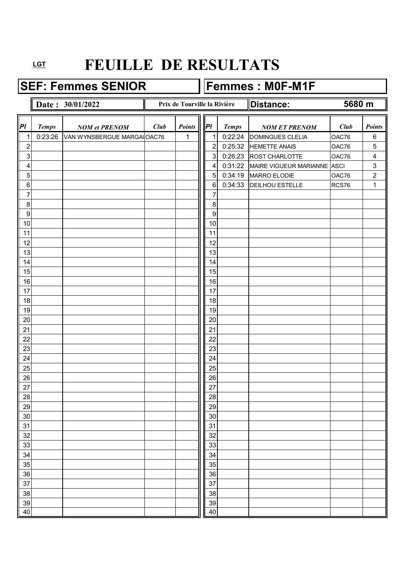**SEF: Femmes SENIOR Femmes : M0F-M1F** 

### **Date : 30/01/2022 Date : 30/01/2022 Distance:** *Pl Temps NOM et PRENOM Club Points*  $\|\|P\|$  *Temps NOM ET PRENOM Club Points* 1 0:23:26 VAN WYNSBERGUE MARGAIOAC76 | 1 || 1 0:22:24 DOMINGUES CLELIA | OAC76 | 6 2 2 0:25:32 HEMETTE ANAIS OAC76 5 3 3 3 3 0:26:23 ROST CHARLOTTE 0AC76 4 4 4 0:31:22 MAIRE VIGUEUR MARIANNE ASCI 3 5 5 0:34:19 MARRO ELODIE 0.276 2 6 6 6 6 0:34:33 DEILHOU ESTELLE RCS76 1 7 7 8 8 9 9 10 10 10 10 10 10 10 10 10 10 10 11 10 11 11 11 12 | | | | | | | | | | | 12 13 | | | | | | | | | | | | 13 14 14 14 15 15 15 16 16 16 17 | | | | | | | | | | | | 17 18 18 18 19 19 20 | | | | | | | | | | | | | 20 21 21 22 | | | | | | | | | | 22 23 | | | | | | | | | | | | 23 24 124 25 | | | | | | | | | | | | | | 25 26 26 27 | | | | | | | | | | | 27 28 28 29 29 30 30 31 31 32 32 33 | | | | | | | | | | | | 33 34 34 35 35 36 36 37 37 37 37 38 38 38 39 39 30 31 32 33 34 35 36 37 38 39 30 31 32 33 34 35 35 35 35 35 35 35 35 35 35 35 35 35 38 38 39 39 40 | 100 | 100 | 100 | 100 | 100 | 100 | 100 | 100 | 100 | 100 | 100 | 100 | 100 | 100 | 100 | 100 | 100 | 10 **5680 m Prix de Tourville la Rivière**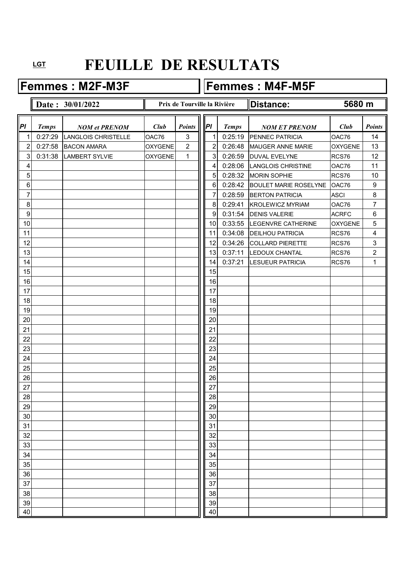Femmes : M2F-M3F **Femmes : M4F-M5F** 

# **Date : 30/01/2022 Distance: Prix de Tourville la Rivière Distance:** *Pl Temps NOM et PRENOM Club Points*  $\|\|P\|$  *Temps NOM ET PRENOM Club Points* 1 0:27:29 LANGLOIS CHRISTELLE  $\vert$  OAC76  $\vert$  3  $\vert$  1 0:25:19 PENNEC PATRICIA  $\vert$  OAC76 14 2 0:27:58 BACON AMARA OXYGENE 2 2 0:26:48 MAUGER ANNE MARIE OXYGENE 13 **5680 m**

| 3 <sup>1</sup> | 0:31:38 LAMBERT SYLVIE | <b>OXYGENE</b> | 1 | $\mathbf{3}$ | 0:26:59 | DUVAL EVELYNE                 | RCS76        | 12                      |
|----------------|------------------------|----------------|---|--------------|---------|-------------------------------|--------------|-------------------------|
| 4              |                        |                |   | 4            | 0:28:06 | LANGLOIS CHRISTINE            | OAC76        | 11                      |
| 5              |                        |                |   | 5            | 0:28:32 | <b>MORIN SOPHIE</b>           | RCS76        | 10                      |
| $\,6\,$        |                        |                |   | $\,6\,$      | 0:28:42 | BOULET MARIE ROSELYNE   OAC76 |              | $\boldsymbol{9}$        |
| 7              |                        |                |   | 7            | 0:28:59 | <b>BERTON PATRICIA</b>        | <b>ASCI</b>  | $\bf 8$                 |
| $\overline{8}$ |                        |                |   | 8            | 0:29:41 | <b>KROLEWICZ MYRIAM</b>       | OAC76        | $\overline{7}$          |
| 9              |                        |                |   | 9            | 0:31:54 | <b>DENIS VALERIE</b>          | <b>ACRFC</b> | $\,6$                   |
| 10             |                        |                |   | 10           | 0:33:55 | LEGENVRE CATHERINE            | OXYGENE      | $\overline{5}$          |
| 11             |                        |                |   | 11           | 0:34:08 | <b>DEILHOU PATRICIA</b>       | RCS76        | $\overline{\mathbf{4}}$ |
| 12             |                        |                |   | 12           | 0:34:26 | <b>COLLARD PIERETTE</b>       | RCS76        | $\sqrt{3}$              |
| 13             |                        |                |   | 13           | 0:37:11 | LEDOUX CHANTAL                | RCS76        | $\overline{2}$          |
| 14             |                        |                |   | 14           | 0:37:21 | <b>LESUEUR PATRICIA</b>       | RCS76        | $\mathbf{1}$            |
| 15             |                        |                |   | 15           |         |                               |              |                         |
| 16             |                        |                |   | 16           |         |                               |              |                         |
| 17             |                        |                |   | 17           |         |                               |              |                         |
| 18             |                        |                |   | 18           |         |                               |              |                         |
| 19             |                        |                |   | 19           |         |                               |              |                         |
| 20             |                        |                |   | 20           |         |                               |              |                         |
| 21             |                        |                |   | 21           |         |                               |              |                         |
| 22             |                        |                |   | 22           |         |                               |              |                         |
| 23             |                        |                |   | 23           |         |                               |              |                         |
| 24             |                        |                |   | 24           |         |                               |              |                         |
| 25             |                        |                |   | 25           |         |                               |              |                         |
| 26             |                        |                |   | 26           |         |                               |              |                         |
| 27             |                        |                |   | 27           |         |                               |              |                         |
| 28             |                        |                |   | 28           |         |                               |              |                         |
| 29             |                        |                |   | 29           |         |                               |              |                         |
| 30             |                        |                |   | 30           |         |                               |              |                         |
| 31             |                        |                |   | 31           |         |                               |              |                         |
| 32             |                        |                |   | 32           |         |                               |              |                         |
| 33             |                        |                |   | 33           |         |                               |              |                         |
| 34             |                        |                |   | 34           |         |                               |              |                         |
| 35             |                        |                |   | 35           |         |                               |              |                         |
| 36             |                        |                |   | 36           |         |                               |              |                         |
| 37             |                        |                |   | 37           |         |                               |              |                         |
| 38             |                        |                |   | 38           |         |                               |              |                         |
| 39             |                        |                |   | 39           |         |                               |              |                         |
| 40             |                        |                |   | 40           |         |                               |              |                         |
|                |                        |                |   |              |         |                               |              |                         |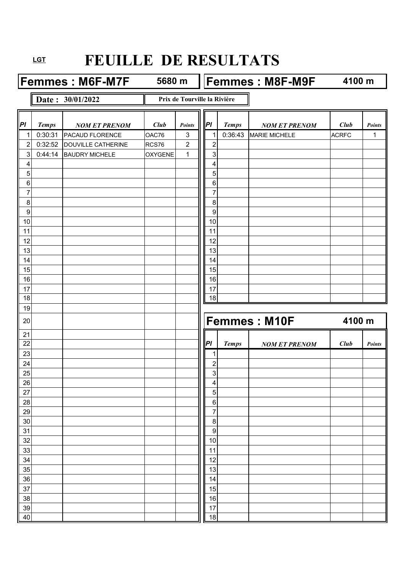**Femmes : M6F-M7F** 5680 m **Femmes : M8F-M9F** 

**5680 m**

**4100 m**

### **Date : 30/01/2022**

**Prix de Tourville la Rivière**

| PI               | <b>Temps</b> | <b>NOM ET PRENOM</b>      | Club           | Points         | PI               | <b>Temps</b> | <b>NOM ET PRENOM</b> | Club         | <b>Points</b> |
|------------------|--------------|---------------------------|----------------|----------------|------------------|--------------|----------------------|--------------|---------------|
| $\mathbf{1}$     | 0:30:31      | PACAUD FLORENCE           | OAC76          | 3              | $\mathbf 1$      | 0:36:43      | <b>MARIE MICHELE</b> | <b>ACRFC</b> | $\mathbf{1}$  |
| $\boldsymbol{2}$ | 0:32:52      | <b>DOUVILLE CATHERINE</b> | RCS76          | $\overline{2}$ | $\overline{2}$   |              |                      |              |               |
| $\mathbf{3}$     | 0:44:14      | <b>BAUDRY MICHELE</b>     | <b>OXYGENE</b> | $\mathbf 1$    | 3                |              |                      |              |               |
| 4                |              |                           |                |                | 4                |              |                      |              |               |
| 5                |              |                           |                |                | 5                |              |                      |              |               |
| $\,6\,$          |              |                           |                |                | $\,6\,$          |              |                      |              |               |
| $\overline{7}$   |              |                           |                |                | $\overline{7}$   |              |                      |              |               |
| $\bf 8$          |              |                           |                |                | 8                |              |                      |              |               |
| $\boldsymbol{9}$ |              |                           |                |                | 9                |              |                      |              |               |
| 10               |              |                           |                |                | 10               |              |                      |              |               |
| 11               |              |                           |                |                | 11               |              |                      |              |               |
| 12               |              |                           |                |                | 12               |              |                      |              |               |
| 13               |              |                           |                |                | 13               |              |                      |              |               |
| 14               |              |                           |                |                | 14               |              |                      |              |               |
| 15               |              |                           |                |                | 15               |              |                      |              |               |
| 16               |              |                           |                |                | 16               |              |                      |              |               |
| 17               |              |                           |                |                | 17               |              |                      |              |               |
| 18               |              |                           |                |                | 18               |              |                      |              |               |
| 19               |              |                           |                |                |                  |              |                      |              |               |
| 20               |              |                           |                |                |                  |              | <b>Femmes: M10F</b>  | 4100 m       |               |
| 21               |              |                           |                |                |                  |              |                      |              |               |
| 22               |              |                           |                |                | PI               | <b>Temps</b> | <b>NOM ET PRENOM</b> | Club         | Points        |
| 23               |              |                           |                |                | 1                |              |                      |              |               |
| 24               |              |                           |                |                | $\overline{2}$   |              |                      |              |               |
| 25               |              |                           |                |                |                  |              |                      |              |               |
| 26               |              |                           |                |                | 3                |              |                      |              |               |
|                  |              |                           |                |                | 4                |              |                      |              |               |
| 27               |              |                           |                |                | $\overline{5}$   |              |                      |              |               |
| 28               |              |                           |                |                | $\,6$            |              |                      |              |               |
| 29               |              |                           |                |                | 7                |              |                      |              |               |
| $30\,$           |              |                           |                |                | $\,8\,$          |              |                      |              |               |
| 31               |              |                           |                |                | $\boldsymbol{9}$ |              |                      |              |               |
| 32               |              |                           |                |                | $10$             |              |                      |              |               |
| 33               |              |                           |                |                | 11               |              |                      |              |               |
| 34               |              |                           |                |                | 12               |              |                      |              |               |
| 35               |              |                           |                |                | 13               |              |                      |              |               |
| 36               |              |                           |                |                | 14               |              |                      |              |               |
| 37               |              |                           |                |                | 15               |              |                      |              |               |
| 38               |              |                           |                |                | 16               |              |                      |              |               |
| 39<br>40         |              |                           |                |                | 17<br>18         |              |                      |              |               |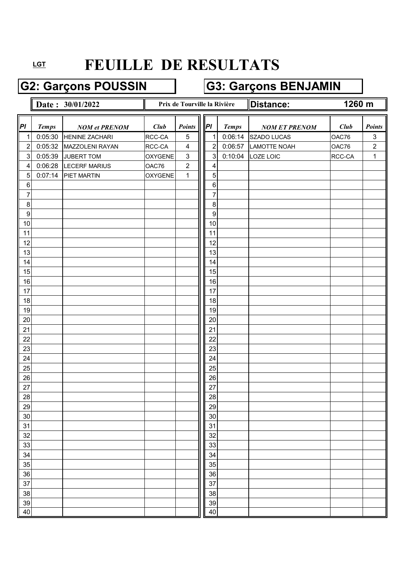## G2: Garçons POUSSIN **G3: Garçons BENJAMIN**

|                  |              | Date: 30/01/2022      |                | Prix de Tourville la Rivière |                  |              | Distance:            | 1260 m |                           |
|------------------|--------------|-----------------------|----------------|------------------------------|------------------|--------------|----------------------|--------|---------------------------|
|                  |              |                       |                |                              |                  |              |                      |        |                           |
| $\overline{PI}$  | <b>Temps</b> | <b>NOM</b> et PRENOM  | Club           | <b>Points</b>                | PI               | <b>Temps</b> | <b>NOM ET PRENOM</b> | Club   | <b>Points</b>             |
| 1                | 0:05:30      | <b>HENINE ZACHARI</b> | RCC-CA         | $\mathbf 5$                  | 1                | 0:06:14      | SZADO LUCAS          | OAC76  | $\ensuremath{\mathsf{3}}$ |
| $\overline{c}$   | 0:05:32      | MAZZOLENI RAYAN       | RCC-CA         | $\overline{\mathbf{4}}$      | $\overline{2}$   | 0:06:57      | LAMOTTE NOAH         | OAC76  | $\sqrt{2}$                |
| $\sqrt{3}$       | 0:05:39      | JUBERT TOM            | OXYGENE        | $\mathfrak{S}$               | 3                | 0:10:04      | LOZE LOIC            | RCC-CA | $\mathbf{1}$              |
| 4                | 0:06:28      | <b>LECERF MARIUS</b>  | OAC76          | $\overline{2}$               | 4                |              |                      |        |                           |
| 5                | 0:07:14      | PIET MARTIN           | <b>OXYGENE</b> | $\mathbf 1$                  | 5                |              |                      |        |                           |
| $\,6\,$          |              |                       |                |                              | 6                |              |                      |        |                           |
| 7                |              |                       |                |                              | 7                |              |                      |        |                           |
| 8                |              |                       |                |                              | $\, 8$           |              |                      |        |                           |
| $\boldsymbol{9}$ |              |                       |                |                              | $\boldsymbol{9}$ |              |                      |        |                           |
| 10               |              |                       |                |                              | $10$             |              |                      |        |                           |
| 11               |              |                       |                |                              | 11               |              |                      |        |                           |
| 12               |              |                       |                |                              | 12               |              |                      |        |                           |
| 13               |              |                       |                |                              | 13               |              |                      |        |                           |
| 14               |              |                       |                |                              | 14               |              |                      |        |                           |
| 15               |              |                       |                |                              | 15               |              |                      |        |                           |
| 16               |              |                       |                |                              | 16               |              |                      |        |                           |
| 17               |              |                       |                |                              | 17               |              |                      |        |                           |
| 18               |              |                       |                |                              | 18               |              |                      |        |                           |
| 19               |              |                       |                |                              | 19               |              |                      |        |                           |
| 20               |              |                       |                |                              | 20               |              |                      |        |                           |
| 21               |              |                       |                |                              | 21               |              |                      |        |                           |
| 22               |              |                       |                |                              | 22               |              |                      |        |                           |
| 23               |              |                       |                |                              | 23               |              |                      |        |                           |
| 24               |              |                       |                |                              | 24               |              |                      |        |                           |
| 25               |              |                       |                |                              | 25               |              |                      |        |                           |
| 26               |              |                       |                |                              | 26               |              |                      |        |                           |
| 27               |              |                       |                |                              | 27               |              |                      |        |                           |
| 28               |              |                       |                |                              | 28               |              |                      |        |                           |
| 29               |              |                       |                |                              | 29               |              |                      |        |                           |
| 30               |              |                       |                |                              | 30               |              |                      |        |                           |
| 31               |              |                       |                |                              | 31               |              |                      |        |                           |
| 32               |              |                       |                |                              | 32               |              |                      |        |                           |
| 33               |              |                       |                |                              | 33               |              |                      |        |                           |
| 34               |              |                       |                |                              | 34               |              |                      |        |                           |
| 35               |              |                       |                |                              | 35               |              |                      |        |                           |
| 36               |              |                       |                |                              | 36               |              |                      |        |                           |
| 37               |              |                       |                |                              | 37               |              |                      |        |                           |
| 38               |              |                       |                |                              | 38               |              |                      |        |                           |
| 39               |              |                       |                |                              | 39               |              |                      |        |                           |
| 40               |              |                       |                |                              | 40               |              |                      |        |                           |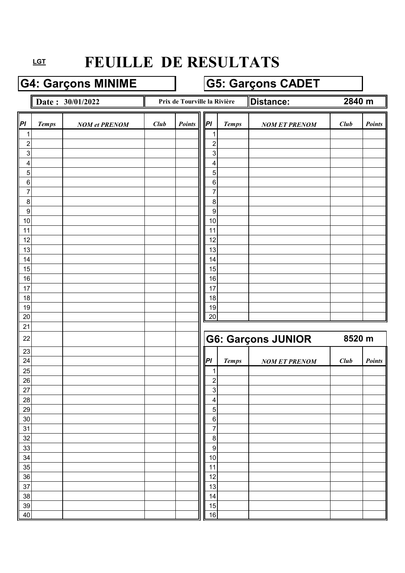### G4: Garçons MINIME **G5: Garçons CADET**

**Date : 30/01/2022 Distance: Prix de Tourville la Rivière Distance:** 

**2840 m**

| PI                        | <b>Temps</b> | <b>NOM et PRENOM</b> | Club | Points | P                          | <b>Temps</b> | <b>NOM ET PRENOM</b>      | Club   | <b>Points</b> |
|---------------------------|--------------|----------------------|------|--------|----------------------------|--------------|---------------------------|--------|---------------|
| $\mathbf{1}$              |              |                      |      |        | 1                          |              |                           |        |               |
| $\overline{\mathbf{c}}$   |              |                      |      |        | $\overline{2}$             |              |                           |        |               |
| $\ensuremath{\mathsf{3}}$ |              |                      |      |        | 3                          |              |                           |        |               |
| 4                         |              |                      |      |        | 4                          |              |                           |        |               |
| $\mathbf 5$               |              |                      |      |        | 5                          |              |                           |        |               |
| $\,6$                     |              |                      |      |        | $\,6\,$                    |              |                           |        |               |
| $\overline{7}$            |              |                      |      |        | 7                          |              |                           |        |               |
| 8<br>$\boldsymbol{9}$     |              |                      |      |        | 8<br>$\boldsymbol{9}$      |              |                           |        |               |
| 10                        |              |                      |      |        | 10                         |              |                           |        |               |
| 11                        |              |                      |      |        | 11                         |              |                           |        |               |
| 12                        |              |                      |      |        | 12                         |              |                           |        |               |
| 13                        |              |                      |      |        | 13                         |              |                           |        |               |
| 14                        |              |                      |      |        | 14                         |              |                           |        |               |
| 15                        |              |                      |      |        | 15                         |              |                           |        |               |
| 16                        |              |                      |      |        | 16                         |              |                           |        |               |
| 17                        |              |                      |      |        | 17                         |              |                           |        |               |
| 18                        |              |                      |      |        | 18                         |              |                           |        |               |
| 19                        |              |                      |      |        | 19                         |              |                           |        |               |
| 20                        |              |                      |      |        | 20                         |              |                           |        |               |
|                           |              |                      |      |        |                            |              |                           |        |               |
| 21                        |              |                      |      |        |                            |              |                           |        |               |
| 22                        |              |                      |      |        |                            |              | <b>G6: Garçons JUNIOR</b> | 8520 m |               |
| 23                        |              |                      |      |        |                            |              |                           |        |               |
| 24                        |              |                      |      |        | Pl                         | <b>Temps</b> | <b>NOM ET PRENOM</b>      | Club   | <b>Points</b> |
| 25                        |              |                      |      |        | 1                          |              |                           |        |               |
| 26                        |              |                      |      |        | $\boldsymbol{2}$           |              |                           |        |               |
| 27                        |              |                      |      |        | 3                          |              |                           |        |               |
| 28                        |              |                      |      |        | 4                          |              |                           |        |               |
| 29                        |              |                      |      |        | 5                          |              |                           |        |               |
| 30                        |              |                      |      |        | $\,6\,$                    |              |                           |        |               |
| 31                        |              |                      |      |        | $\overline{7}$             |              |                           |        |               |
| 32<br>33                  |              |                      |      |        | $\, 8$<br>$\boldsymbol{9}$ |              |                           |        |               |
| 34                        |              |                      |      |        | 10                         |              |                           |        |               |
| 35                        |              |                      |      |        | 11                         |              |                           |        |               |
| 36                        |              |                      |      |        | 12                         |              |                           |        |               |
| 37                        |              |                      |      |        | 13                         |              |                           |        |               |
| 38                        |              |                      |      |        | 14                         |              |                           |        |               |
| 39<br>40                  |              |                      |      |        | 15<br>16                   |              |                           |        |               |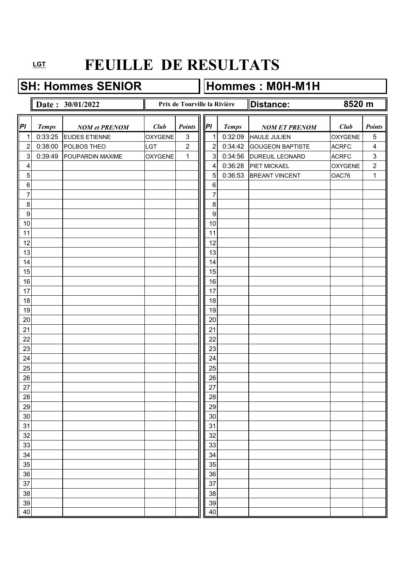SH: Hommes SENIOR **Hommes : M0H-M1H** 

### **Date :**  $30/01/2022$  **Distance:** *Pl Temps NOM et PRENOM Club Points*  $\|\|P\|$  *Temps NOM ET PRENOM Club Points* 1 0:33:25 EUDES ETIENNE OXYGENE 3 1 0:32:09 HAULE JULIEN OXYGENE 5 2 0:38:00 POLBOS THEO LGT 2  $\|$  2 0:34:42 GOUGEON BAPTISTE ACRFC 4 3 0:39:49 POUPARDIN MAXIME  $\vert$  OXYGENE 1 || 3 0:34:56 DUREUIL LEONARD ACRFC 3 4 | | | | | | | | | | | | 4 | 0:36:28 |PIET MICKAEL | OXYGENE | 2 5 5 0:36:53 BREANT VINCENT 0AC76 1 6 6 7 7 8 8 9 9 10 10 10 10 10 10 10 10 10 10 10 11 10 11 11 11 12 | | | | | | | | | | | 12 13 | | | | | | | | | | | | 13 14 14 14 15 15 15 16 16 16 17 | | | | | | | | | | | | 17 18 18 18 19 19 20 | | | | | | | | | | | | | 20 21 21 22 | | | | | | | | | | 22 23 | | | | | | | | | | | | 23 24 124 25 | | | | | | | | | | | | | | 25 26 26 27 | | | | | | | | | | | 27 28 28 29 29 30 30 31 31 32 32 33 | | | | | | | | | | | | 33 34 34 35 | | | | | | | | | | | | 35 36 36 37 37 37 37 38 38 38 38 39 39 30 31 32 33 34 35 36 37 38 39 30 31 32 33 33 34 35 35 35 35 35 35 35 35 35 35 35 38 38 39 39 40 | 100 | 100 | 100 | 100 | 100 | 100 | 100 | 100 | 100 | 100 | 100 | 100 | 100 | 100 | 100 | 100 | 100 | 10 Prix de Tourville la Rivière **Distance:** 8520 m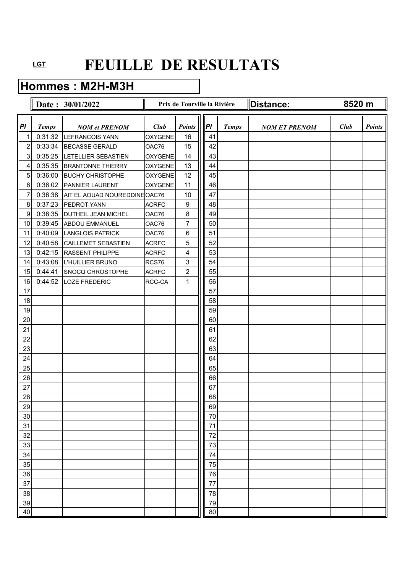### **Hommes : M2H-M3H**

|                |              | Date: 30/01/2022              |                | Prix de Tourville la Rivière |    |              | Distance:            | 8520 m |               |
|----------------|--------------|-------------------------------|----------------|------------------------------|----|--------------|----------------------|--------|---------------|
| P              | <b>Temps</b> | <b>NOM et PRENOM</b>          | Club           | <b>Points</b>                | P  | <b>Temps</b> | <b>NOM ET PRENOM</b> | Club   | <b>Points</b> |
| 1              | 0:31:32      | <b>LEFRANCOIS YANN</b>        | <b>OXYGENE</b> | 16                           | 41 |              |                      |        |               |
| $\overline{c}$ | 0:33:34      | <b>BECASSE GERALD</b>         | OAC76          | 15                           | 42 |              |                      |        |               |
| 3              | 0:35:25      | <b>LETELLIER SEBASTIEN</b>    | <b>OXYGENE</b> | 14                           | 43 |              |                      |        |               |
| 4              | 0:35:35      | <b>BRANTONNE THIERRY</b>      | <b>OXYGENE</b> | 13                           | 44 |              |                      |        |               |
| $\overline{5}$ | 0:36:00      | <b>BUCHY CHRISTOPHE</b>       | <b>OXYGENE</b> | 12                           | 45 |              |                      |        |               |
| 6              | 0:36:02      | <b>PANNIER LAURENT</b>        | <b>OXYGENE</b> | 11                           | 46 |              |                      |        |               |
| 7              | 0:36:38      | AIT EL AOUAD NOUREDDINE OAC76 |                | 10                           | 47 |              |                      |        |               |
| 8              | 0:37:23      | PEDROT YANN                   | <b>ACRFC</b>   | $\boldsymbol{9}$             | 48 |              |                      |        |               |
| 9              | 0:38:35      | <b>DUTHEIL JEAN MICHEL</b>    | OAC76          | $\,8\,$                      | 49 |              |                      |        |               |
| 10             | 0:39:45      | <b>ABDOU EMMANUEL</b>         | OAC76          | 7                            | 50 |              |                      |        |               |
| 11             | 0:40:09      | <b>LANGLOIS PATRICK</b>       | OAC76          | 6                            | 51 |              |                      |        |               |
| 12             | 0:40:58      | <b>CAILLEMET SEBASTIEN</b>    | <b>ACRFC</b>   | 5                            | 52 |              |                      |        |               |
| 13             | 0:42:15      | <b>RASSENT PHILIPPE</b>       | <b>ACRFC</b>   | 4                            | 53 |              |                      |        |               |
| 14             | 0:43:08      | <b>L'HUILLIER BRUNO</b>       | RCS76          | 3                            | 54 |              |                      |        |               |
| 15             | 0:44:41      | <b>SNOCQ CHROSTOPHE</b>       | <b>ACRFC</b>   | $\overline{c}$               | 55 |              |                      |        |               |
| 16             | 0:44:52      | <b>LOZE FREDERIC</b>          | RCC-CA         | 1                            | 56 |              |                      |        |               |
| 17             |              |                               |                |                              | 57 |              |                      |        |               |
| 18             |              |                               |                |                              | 58 |              |                      |        |               |
| 19             |              |                               |                |                              | 59 |              |                      |        |               |
| 20             |              |                               |                |                              | 60 |              |                      |        |               |
| 21             |              |                               |                |                              | 61 |              |                      |        |               |
| 22             |              |                               |                |                              | 62 |              |                      |        |               |
| 23             |              |                               |                |                              | 63 |              |                      |        |               |
| 24             |              |                               |                |                              | 64 |              |                      |        |               |
| 25             |              |                               |                |                              | 65 |              |                      |        |               |
| 26             |              |                               |                |                              | 66 |              |                      |        |               |
| 27             |              |                               |                |                              | 67 |              |                      |        |               |
| 28             |              |                               |                |                              | 68 |              |                      |        |               |
| 29             |              |                               |                |                              | 69 |              |                      |        |               |
| 30             |              |                               |                |                              | 70 |              |                      |        |               |
| 31             |              |                               |                |                              | 71 |              |                      |        |               |
| 32             |              |                               |                |                              | 72 |              |                      |        |               |
| 33             |              |                               |                |                              | 73 |              |                      |        |               |
| 34             |              |                               |                |                              | 74 |              |                      |        |               |
| 35             |              |                               |                |                              | 75 |              |                      |        |               |
| 36             |              |                               |                |                              | 76 |              |                      |        |               |
| 37             |              |                               |                |                              | 77 |              |                      |        |               |
| 38             |              |                               |                |                              | 78 |              |                      |        |               |
| 39             |              |                               |                |                              | 79 |              |                      |        |               |
| 40             |              |                               |                |                              | 80 |              |                      |        |               |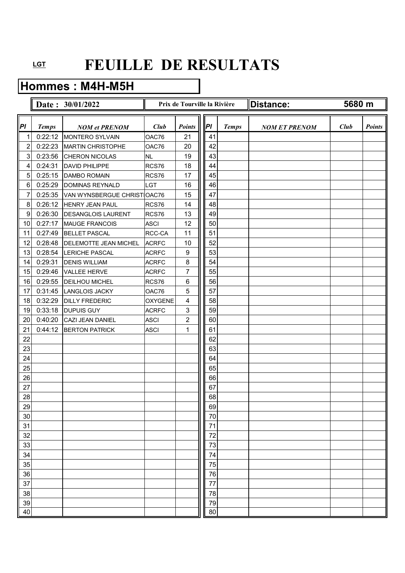### **Hommes : M4H-M5H**

|                  |              | Date: 30/01/2022             |                | Prix de Tourville la Rivière |    |              | Distance:            | 5680 m |               |
|------------------|--------------|------------------------------|----------------|------------------------------|----|--------------|----------------------|--------|---------------|
| PI               | <b>Temps</b> | <b>NOM et PRENOM</b>         | Club           | <b>Points</b>                | P  | <b>Temps</b> | <b>NOM ET PRENOM</b> | Club   | <b>Points</b> |
| 1                | 0:22:12      | <b>MONTERO SYLVAIN</b>       | OAC76          | 21                           | 41 |              |                      |        |               |
| $\overline{c}$   | 0:22:23      | <b>MARTIN CHRISTOPHE</b>     | OAC76          | 20                           | 42 |              |                      |        |               |
| 3                | 0:23:56      | CHERON NICOLAS               | NL             | 19                           | 43 |              |                      |        |               |
| 4                | 0:24:31      | <b>DAVID PHILIPPE</b>        | RCS76          | 18                           | 44 |              |                      |        |               |
| $\overline{5}$   | 0:25:15      | <b>DAMBO ROMAIN</b>          | RCS76          | 17                           | 45 |              |                      |        |               |
| 6                | 0:25:29      | DOMINAS REYNALD              | <b>LGT</b>     | 16                           | 46 |              |                      |        |               |
| $\overline{7}$   | 0:25:35      | VAN WYNSBERGUE CHRIST OAC76  |                | 15                           | 47 |              |                      |        |               |
| $\,8\,$          | 0:26:12      | <b>HENRY JEAN PAUL</b>       | RCS76          | 14                           | 48 |              |                      |        |               |
| $\boldsymbol{9}$ | 0:26:30      | <b>DESANGLOIS LAURENT</b>    | RCS76          | 13                           | 49 |              |                      |        |               |
| 10               | 0:27:17      | <b>MAUGE FRANCOIS</b>        | <b>ASCI</b>    | 12                           | 50 |              |                      |        |               |
| 11               | 0:27:49      | <b>BELLET PASCAL</b>         | RCC-CA         | 11                           | 51 |              |                      |        |               |
| 12               | 0:28:48      | <b>DELEMOTTE JEAN MICHEL</b> | <b>ACRFC</b>   | 10                           | 52 |              |                      |        |               |
| 13               | 0:28:54      | <b>LERICHE PASCAL</b>        | <b>ACRFC</b>   | $\boldsymbol{9}$             | 53 |              |                      |        |               |
| 14               | 0:29:31      | <b>DENIS WILLIAM</b>         | <b>ACRFC</b>   | 8                            | 54 |              |                      |        |               |
| 15               | 0:29:46      | <b>VALLEE HERVE</b>          | <b>ACRFC</b>   | $\overline{7}$               | 55 |              |                      |        |               |
| 16               | 0:29:55      | <b>DEILHOU MICHEL</b>        | RCS76          | 6                            | 56 |              |                      |        |               |
| 17               | 0:31:45      | <b>LANGLOIS JACKY</b>        | OAC76          | 5                            | 57 |              |                      |        |               |
| 18               | 0:32:29      | <b>DILLY FREDERIC</b>        | <b>OXYGENE</b> | 4                            | 58 |              |                      |        |               |
| 19               | 0:33:18      | <b>DUPUIS GUY</b>            | <b>ACRFC</b>   | 3                            | 59 |              |                      |        |               |
| 20               | 0:40:20      | CAZI JEAN DANIEL             | <b>ASCI</b>    | $\overline{c}$               | 60 |              |                      |        |               |
| 21               | 0:44:12      | <b>BERTON PATRICK</b>        | <b>ASCI</b>    | 1                            | 61 |              |                      |        |               |
| 22               |              |                              |                |                              | 62 |              |                      |        |               |
| 23               |              |                              |                |                              | 63 |              |                      |        |               |
| 24               |              |                              |                |                              | 64 |              |                      |        |               |
| 25               |              |                              |                |                              | 65 |              |                      |        |               |
| 26               |              |                              |                |                              | 66 |              |                      |        |               |
| 27               |              |                              |                |                              | 67 |              |                      |        |               |
| 28               |              |                              |                |                              | 68 |              |                      |        |               |
| 29               |              |                              |                |                              | 69 |              |                      |        |               |
| 30               |              |                              |                |                              | 70 |              |                      |        |               |
| 31               |              |                              |                |                              | 71 |              |                      |        |               |
| 32               |              |                              |                |                              | 72 |              |                      |        |               |
| 33               |              |                              |                |                              | 73 |              |                      |        |               |
| 34               |              |                              |                |                              | 74 |              |                      |        |               |
| 35               |              |                              |                |                              | 75 |              |                      |        |               |
| 36               |              |                              |                |                              | 76 |              |                      |        |               |
| 37               |              |                              |                |                              | 77 |              |                      |        |               |
| 38               |              |                              |                |                              | 78 |              |                      |        |               |
| 39               |              |                              |                |                              | 79 |              |                      |        |               |
| 40               |              |                              |                |                              | 80 |              |                      |        |               |